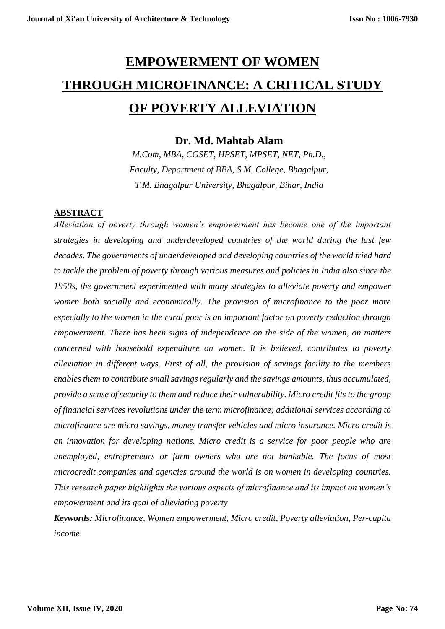# **EMPOWERMENT OF WOMEN THROUGH MICROFINANCE: A CRITICAL STUDY OF POVERTY ALLEVIATION**

### **Dr. Md. Mahtab Alam**

*M.Com, MBA, CGSET, HPSET, MPSET, NET, Ph.D., Faculty, Department of BBA, S.M. College, Bhagalpur, T.M. Bhagalpur University, Bhagalpur, Bihar, India*

### **ABSTRACT**

*Alleviation of poverty through women's empowerment has become one of the important strategies in developing and underdeveloped countries of the world during the last few decades. The governments of underdeveloped and developing countries of the world tried hard to tackle the problem of poverty through various measures and policies in India also since the 1950s, the government experimented with many strategies to alleviate poverty and empower women both socially and economically. The provision of microfinance to the poor more especially to the women in the rural poor is an important factor on poverty reduction through empowerment. There has been signs of independence on the side of the women, on matters concerned with household expenditure on women. It is believed, contributes to poverty alleviation in different ways. First of all, the provision of savings facility to the members enables them to contribute small savings regularly and the savings amounts, thus accumulated, provide a sense of security to them and reduce their vulnerability. Micro credit fits to the group of financial services revolutions under the term microfinance; additional services according to microfinance are micro savings, money transfer vehicles and micro insurance. Micro credit is an innovation for developing nations. Micro credit is a service for poor people who are unemployed, entrepreneurs or farm owners who are not bankable. The focus of most microcredit companies and agencies around the world is on women in developing countries. This research paper highlights the various aspects of microfinance and its impact on women's empowerment and its goal of alleviating poverty*

*Keywords: Microfinance, Women empowerment, Micro credit, Poverty alleviation, Per-capita income*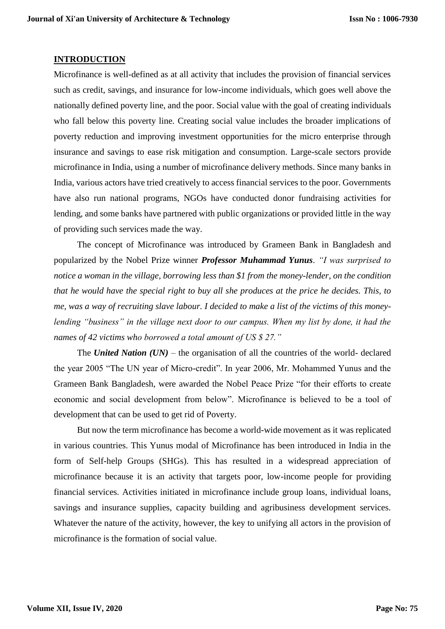### **INTRODUCTION**

Microfinance is well-defined as at all activity that includes the provision of financial services such as credit, savings, and insurance for low-income individuals, which goes well above the nationally defined poverty line, and the poor. Social value with the goal of creating individuals who fall below this poverty line. Creating social value includes the broader implications of poverty reduction and improving investment opportunities for the micro enterprise through insurance and savings to ease risk mitigation and consumption. Large-scale sectors provide microfinance in India, using a number of microfinance delivery methods. Since many banks in India, various actors have tried creatively to access financial services to the poor. Governments have also run national programs, NGOs have conducted donor fundraising activities for lending, and some banks have partnered with public organizations or provided little in the way of providing such services made the way.

The concept of Microfinance was introduced by Grameen Bank in Bangladesh and popularized by the Nobel Prize winner *Professor Muhammad Yunus*. *"I was surprised to notice a woman in the village, borrowing less than \$1 from the money-lender, on the condition that he would have the special right to buy all she produces at the price he decides. This, to me, was a way of recruiting slave labour. I decided to make a list of the victims of this moneylending "business" in the village next door to our campus. When my list by done, it had the names of 42 victims who borrowed a total amount of US \$ 27."*

The *United Nation (UN)* – the organisation of all the countries of the world- declared the year 2005 "The UN year of Micro-credit". In year 2006, Mr. Mohammed Yunus and the Grameen Bank Bangladesh, were awarded the Nobel Peace Prize "for their efforts to create economic and social development from below". Microfinance is believed to be a tool of development that can be used to get rid of Poverty.

But now the term microfinance has become a world-wide movement as it was replicated in various countries. This Yunus modal of Microfinance has been introduced in India in the form of Self-help Groups (SHGs). This has resulted in a widespread appreciation of microfinance because it is an activity that targets poor, low-income people for providing financial services. Activities initiated in microfinance include group loans, individual loans, savings and insurance supplies, capacity building and agribusiness development services. Whatever the nature of the activity, however, the key to unifying all actors in the provision of microfinance is the formation of social value.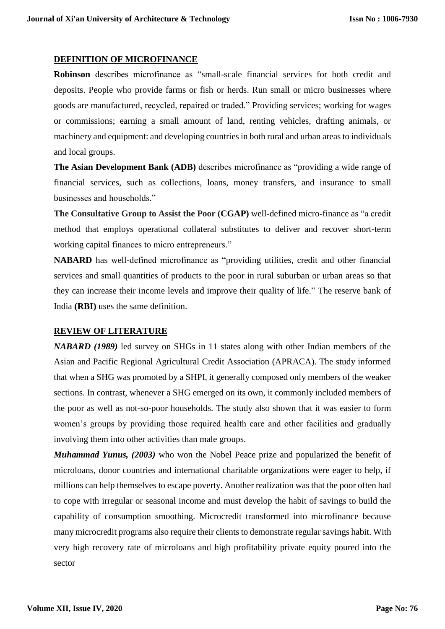### **DEFINITION OF MICROFINANCE**

**Robinson** describes microfinance as "small-scale financial services for both credit and deposits. People who provide farms or fish or herds. Run small or micro businesses where goods are manufactured, recycled, repaired or traded." Providing services; working for wages or commissions; earning a small amount of land, renting vehicles, drafting animals, or machinery and equipment: and developing countries in both rural and urban areas to individuals and local groups.

**The Asian Development Bank (ADB)** describes microfinance as "providing a wide range of financial services, such as collections, loans, money transfers, and insurance to small businesses and households."

**The Consultative Group to Assist the Poor (CGAP)** well-defined micro-finance as "a credit method that employs operational collateral substitutes to deliver and recover short-term working capital finances to micro entrepreneurs."

**NABARD** has well-defined microfinance as "providing utilities, credit and other financial services and small quantities of products to the poor in rural suburban or urban areas so that they can increase their income levels and improve their quality of life." The reserve bank of India **(RBI)** uses the same definition.

### **REVIEW OF LITERATURE**

*NABARD (1989)* led survey on SHGs in 11 states along with other Indian members of the Asian and Pacific Regional Agricultural Credit Association (APRACA). The study informed that when a SHG was promoted by a SHPI, it generally composed only members of the weaker sections. In contrast, whenever a SHG emerged on its own, it commonly included members of the poor as well as not-so-poor households. The study also shown that it was easier to form women's groups by providing those required health care and other facilities and gradually involving them into other activities than male groups.

*Muhammad Yunus, (2003)* who won the Nobel Peace prize and popularized the benefit of microloans, donor countries and international charitable organizations were eager to help, if millions can help themselves to escape poverty. Another realization was that the poor often had to cope with irregular or seasonal income and must develop the habit of savings to build the capability of consumption smoothing. Microcredit transformed into microfinance because many microcredit programs also require their clients to demonstrate regular savings habit. With very high recovery rate of microloans and high profitability private equity poured into the sector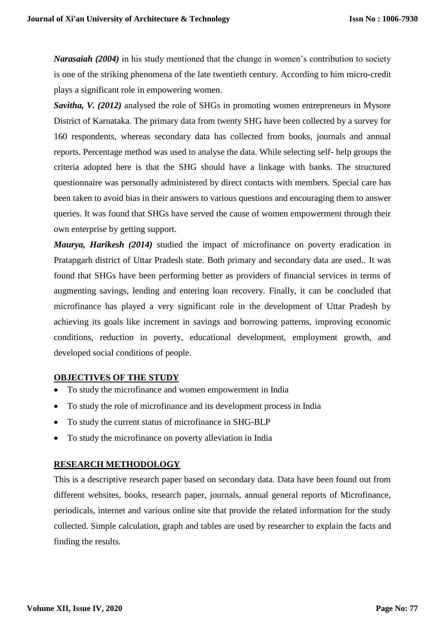*Narasaiah (2004)* in his study mentioned that the change in women's contribution to society is one of the striking phenomena of the late twentieth century. According to him micro-credit plays a significant role in empowering women.

*Savitha, V. (2012)* analysed the role of SHGs in promoting women entrepreneurs in Mysore District of Karnataka. The primary data from twenty SHG have been collected by a survey for 160 respondents, whereas secondary data has collected from books, journals and annual reports. Percentage method was used to analyse the data. While selecting self- help groups the criteria adopted here is that the SHG should have a linkage with banks. The structured questionnaire was personally administered by direct contacts with members. Special care has been taken to avoid bias in their answers to various questions and encouraging them to answer queries. It was found that SHGs have served the cause of women empowerment through their own enterprise by getting support.

*Maurya, Harikesh (2014)* studied the impact of microfinance on poverty eradication in Pratapgarh district of Uttar Pradesh state. Both primary and secondary data are used.. It was found that SHGs have been performing better as providers of financial services in terms of augmenting savings, lending and entering loan recovery. Finally, it can be concluded that microfinance has played a very significant role in the development of Uttar Pradesh by achieving its goals like increment in savings and borrowing patterns, improving economic conditions, reduction in poverty, educational development, employment growth, and developed social conditions of people.

### **OBJECTIVES OF THE STUDY**

- To study the microfinance and women empowerment in India
- To study the role of microfinance and its development process in India
- To study the current status of microfinance in SHG-BLP
- To study the microfinance on poverty alleviation in India

### **RESEARCH METHODOLOGY**

This is a descriptive research paper based on secondary data. Data have been found out from different websites, books, research paper, journals, annual general reports of Microfinance, periodicals, internet and various online site that provide the related information for the study collected. Simple calculation, graph and tables are used by researcher to explain the facts and finding the results.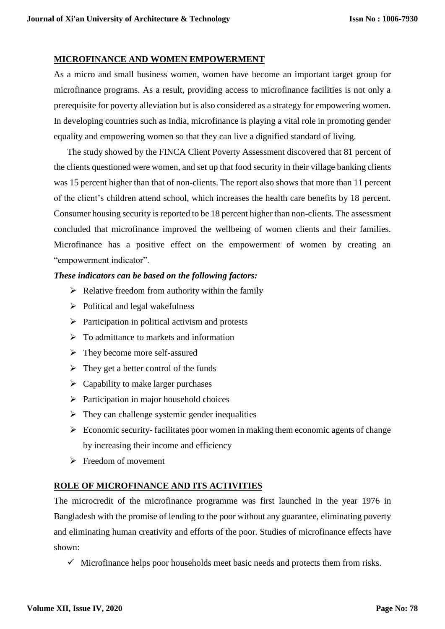### **MICROFINANCE AND WOMEN EMPOWERMENT**

As a micro and small business women, women have become an important target group for microfinance programs. As a result, providing access to microfinance facilities is not only a prerequisite for poverty alleviation but is also considered as a strategy for empowering women. In developing countries such as India, microfinance is playing a vital role in promoting gender equality and empowering women so that they can live a dignified standard of living.

The study showed by the FINCA Client Poverty Assessment discovered that 81 percent of the clients questioned were women, and set up that food security in their village banking clients was 15 percent higher than that of non-clients. The report also shows that more than 11 percent of the client's children attend school, which increases the health care benefits by 18 percent. Consumer housing security is reported to be 18 percent higher than non-clients. The assessment concluded that microfinance improved the wellbeing of women clients and their families. Microfinance has a positive effect on the empowerment of women by creating an "empowerment indicator".

### *These indicators can be based on the following factors:*

- $\triangleright$  Relative freedom from authority within the family
- $\triangleright$  Political and legal wakefulness
- $\triangleright$  Participation in political activism and protests
- $\triangleright$  To admittance to markets and information
- $\triangleright$  They become more self-assured
- $\triangleright$  They get a better control of the funds
- $\triangleright$  Capability to make larger purchases
- $\triangleright$  Participation in major household choices
- $\triangleright$  They can challenge systemic gender inequalities
- $\triangleright$  Economic security-facilitates poor women in making them economic agents of change by increasing their income and efficiency
- $\triangleright$  Freedom of movement

### **ROLE OF MICROFINANCE AND ITS ACTIVITIES**

The microcredit of the microfinance programme was first launched in the year 1976 in Bangladesh with the promise of lending to the poor without any guarantee, eliminating poverty and eliminating human creativity and efforts of the poor. Studies of microfinance effects have shown:

 $\checkmark$  Microfinance helps poor households meet basic needs and protects them from risks.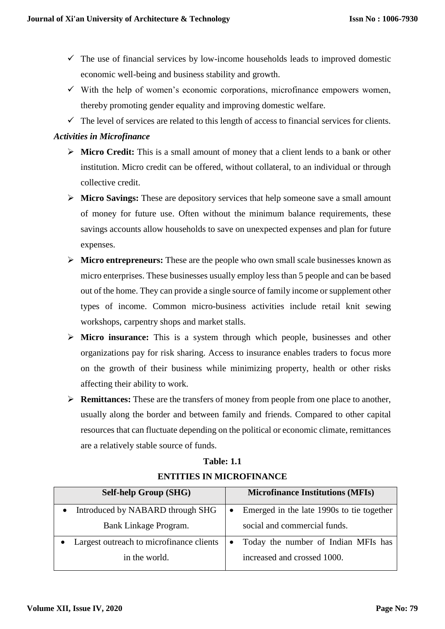- $\checkmark$  The use of financial services by low-income households leads to improved domestic economic well-being and business stability and growth.
- $\checkmark$  With the help of women's economic corporations, microfinance empowers women, thereby promoting gender equality and improving domestic welfare.
- $\checkmark$  The level of services are related to this length of access to financial services for clients.

### *Activities in Microfinance*

- **Micro Credit:** This is a small amount of money that a client lends to a bank or other institution. Micro credit can be offered, without collateral, to an individual or through collective credit.
- **Micro Savings:** These are depository services that help someone save a small amount of money for future use. Often without the minimum balance requirements, these savings accounts allow households to save on unexpected expenses and plan for future expenses.
- **Micro entrepreneurs:** These are the people who own small scale businesses known as micro enterprises. These businesses usually employ less than 5 people and can be based out of the home. They can provide a single source of family income or supplement other types of income. Common micro-business activities include retail knit sewing workshops, carpentry shops and market stalls.
- **Micro insurance:** This is a system through which people, businesses and other organizations pay for risk sharing. Access to insurance enables traders to focus more on the growth of their business while minimizing property, health or other risks affecting their ability to work.
- **Remittances:** These are the transfers of money from people from one place to another, usually along the border and between family and friends. Compared to other capital resources that can fluctuate depending on the political or economic climate, remittances are a relatively stable source of funds.

| <b>Self-help Group (SHG)</b>             | <b>Microfinance Institutions (MFIs)</b>                |  |  |
|------------------------------------------|--------------------------------------------------------|--|--|
| Introduced by NABARD through SHG         | Emerged in the late 1990s to tie together<br>$\bullet$ |  |  |
| Bank Linkage Program.                    | social and commercial funds.                           |  |  |
| Largest outreach to microfinance clients | Today the number of Indian MFIs has<br>$\bullet$       |  |  |
| in the world.                            | increased and crossed 1000.                            |  |  |

# **Table: 1.1 ENTITIES IN MICROFINANCE**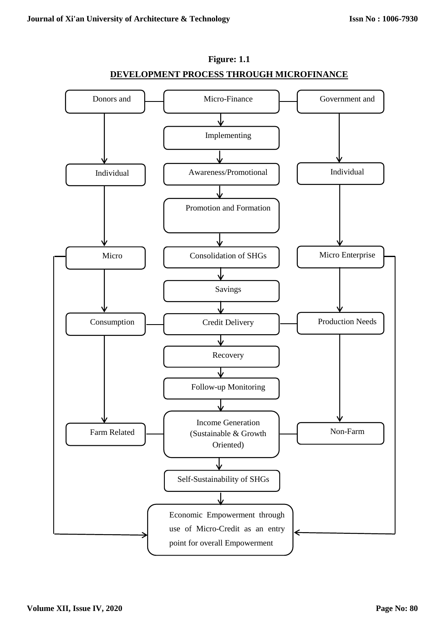

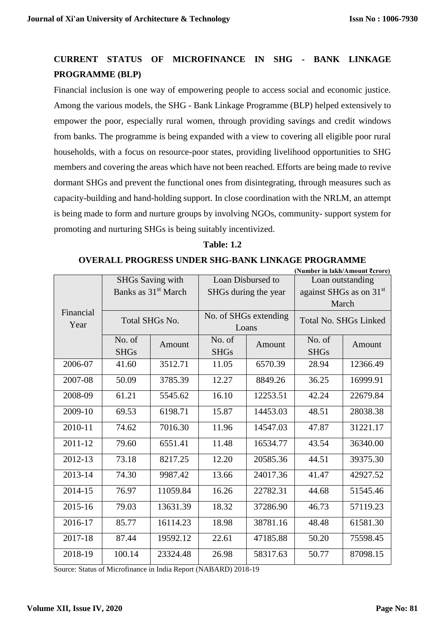**(Number in lakh/Amount ₹crore)**

# **CURRENT STATUS OF MICROFINANCE IN SHG - BANK LINKAGE PROGRAMME (BLP)**

Financial inclusion is one way of empowering people to access social and economic justice. Among the various models, the SHG - Bank Linkage Programme (BLP) helped extensively to empower the poor, especially rural women, through providing savings and credit windows from banks. The programme is being expanded with a view to covering all eligible poor rural households, with a focus on resource-poor states, providing livelihood opportunities to SHG members and covering the areas which have not been reached. Efforts are being made to revive dormant SHGs and prevent the functional ones from disintegrating, through measures such as capacity-building and hand-holding support. In close coordination with the NRLM, an attempt is being made to form and nurture groups by involving NGOs, community- support system for promoting and nurturing SHGs is being suitably incentivized.

### **Table: 1.2**

### **OVERALL PROGRESS UNDER SHG-BANK LINKAGE PROGRAMME**

|             |                                 |                       |                      | (INUMDET IN IAKN/AMOUNT KETOTE) |                                     |                       |
|-------------|---------------------------------|-----------------------|----------------------|---------------------------------|-------------------------------------|-----------------------|
|             | <b>SHGs Saving with</b>         |                       | Loan Disbursed to    |                                 | Loan outstanding                    |                       |
|             | Banks as 31 <sup>st</sup> March |                       | SHGs during the year |                                 | against SHGs as on 31 <sup>st</sup> |                       |
|             |                                 |                       |                      |                                 |                                     | March                 |
| Financial   |                                 | <b>Total SHGs No.</b> |                      | No. of SHGs extending           |                                     | Total No. SHGs Linked |
| Year        |                                 |                       | Loans                |                                 |                                     |                       |
|             | No. of                          | Amount                | No. of               | Amount                          | No. of                              | Amount                |
|             | <b>SHGs</b>                     |                       | <b>SHGs</b>          |                                 | <b>SHGs</b>                         |                       |
| 2006-07     | 41.60                           | 3512.71               | 11.05                | 6570.39                         | 28.94                               | 12366.49              |
| 2007-08     | 50.09                           | 3785.39               | 12.27                | 8849.26                         | 36.25                               | 16999.91              |
| 2008-09     | 61.21                           | 5545.62               | 16.10                | 12253.51                        | 42.24                               | 22679.84              |
| 2009-10     | 69.53                           | 6198.71               | 15.87                | 14453.03                        | 48.51                               | 28038.38              |
| 2010-11     | 74.62                           | 7016.30               | 11.96                | 14547.03                        | 47.87                               | 31221.17              |
| $2011 - 12$ | 79.60                           | 6551.41               | 11.48                | 16534.77                        | 43.54                               | 36340.00              |
| 2012-13     | 73.18                           | 8217.25               | 12.20                | 20585.36                        | 44.51                               | 39375.30              |
| 2013-14     | 74.30                           | 9987.42               | 13.66                | 24017.36                        | 41.47                               | 42927.52              |
| 2014-15     | 76.97                           | 11059.84              | 16.26                | 22782.31                        | 44.68                               | 51545.46              |
| 2015-16     | 79.03                           | 13631.39              | 18.32                | 37286.90                        | 46.73                               | 57119.23              |
| 2016-17     | 85.77                           | 16114.23              | 18.98                | 38781.16                        | 48.48                               | 61581.30              |
| 2017-18     | 87.44                           | 19592.12              | 22.61                | 47185.88                        | 50.20                               | 75598.45              |
| 2018-19     | 100.14                          | 23324.48              | 26.98                | 58317.63                        | 50.77                               | 87098.15              |

Source: Status of Microfinance in India Report (NABARD) 2018-19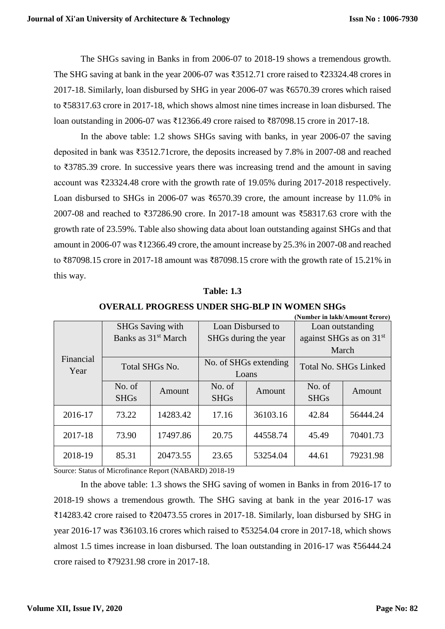The SHGs saving in Banks in from 2006-07 to 2018-19 shows a tremendous growth. The SHG saving at bank in the year 2006-07 was ₹3512.71 crore raised to ₹23324.48 crores in 2017-18. Similarly, loan disbursed by SHG in year 2006-07 was ₹6570.39 crores which raised to ₹58317.63 crore in 2017-18, which shows almost nine times increase in loan disbursed. The loan outstanding in 2006-07 was ₹12366.49 crore raised to ₹87098.15 crore in 2017-18.

In the above table: 1.2 shows SHGs saving with banks, in year 2006-07 the saving deposited in bank was ₹3512.71crore, the deposits increased by 7.8% in 2007-08 and reached to ₹3785.39 crore. In successive years there was increasing trend and the amount in saving account was ₹23324.48 crore with the growth rate of 19.05% during 2017-2018 respectively. Loan disbursed to SHGs in 2006-07 was ₹6570.39 crore, the amount increase by 11.0% in 2007-08 and reached to ₹37286.90 crore. In 2017-18 amount was ₹58317.63 crore with the growth rate of 23.59%. Table also showing data about loan outstanding against SHGs and that amount in 2006-07 was ₹12366.49 crore, the amount increase by 25.3% in 2007-08 and reached to ₹87098.15 crore in 2017-18 amount was ₹87098.15 crore with the growth rate of 15.21% in this way.

### **Table: 1.3**

|                   |                                 |          |                       |          | (Number in lakh/Amount ₹crore) |          |
|-------------------|---------------------------------|----------|-----------------------|----------|--------------------------------|----------|
|                   | <b>SHGs Saving with</b>         |          | Loan Disbursed to     |          | Loan outstanding               |          |
|                   | Banks as 31 <sup>st</sup> March |          | SHGs during the year  |          | against SHGs as on $31st$      |          |
|                   |                                 |          |                       |          |                                | March    |
| Financial<br>Year | Total SHGs No.                  |          | No. of SHGs extending |          | <b>Total No. SHGs Linked</b>   |          |
|                   |                                 |          | Loans                 |          |                                |          |
|                   | No. of                          | Amount   | No. of                | Amount   | No. of                         | Amount   |
|                   | <b>SHGs</b>                     |          | <b>SHGs</b>           |          | <b>SHGs</b>                    |          |
| 2016-17           | 73.22                           | 14283.42 | 17.16                 | 36103.16 | 42.84                          | 56444.24 |
|                   |                                 |          |                       |          |                                |          |
| 2017-18           | 73.90                           | 17497.86 | 20.75                 | 44558.74 | 45.49                          | 70401.73 |
| 2018-19           | 85.31                           | 20473.55 | 23.65                 | 53254.04 | 44.61                          | 79231.98 |

Source: Status of Microfinance Report (NABARD) 2018-19

In the above table: 1.3 shows the SHG saving of women in Banks in from 2016-17 to 2018-19 shows a tremendous growth. The SHG saving at bank in the year 2016-17 was ₹14283.42 crore raised to ₹20473.55 crores in 2017-18. Similarly, loan disbursed by SHG in year 2016-17 was ₹36103.16 crores which raised to ₹53254.04 crore in 2017-18, which shows almost 1.5 times increase in loan disbursed. The loan outstanding in 2016-17 was ₹56444.24 crore raised to ₹79231.98 crore in 2017-18.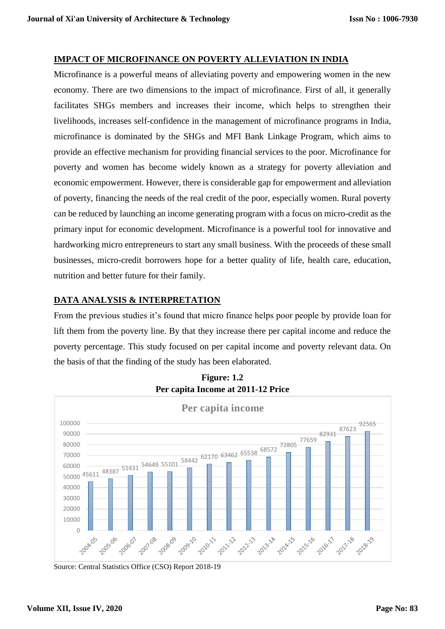### **IMPACT OF MICROFINANCE ON POVERTY ALLEVIATION IN INDIA**

Microfinance is a powerful means of alleviating poverty and empowering women in the new economy. There are two dimensions to the impact of microfinance. First of all, it generally facilitates SHGs members and increases their income, which helps to strengthen their livelihoods, increases self-confidence in the management of microfinance programs in India, microfinance is dominated by the SHGs and MFI Bank Linkage Program, which aims to provide an effective mechanism for providing financial services to the poor. Microfinance for poverty and women has become widely known as a strategy for poverty alleviation and economic empowerment. However, there is considerable gap for empowerment and alleviation of poverty, financing the needs of the real credit of the poor, especially women. Rural poverty can be reduced by launching an income generating program with a focus on micro-credit as the primary input for economic development. Microfinance is a powerful tool for innovative and hardworking micro entrepreneurs to start any small business. With the proceeds of these small businesses, micro-credit borrowers hope for a better quality of life, health care, education, nutrition and better future for their family.

### **DATA ANALYSIS & INTERPRETATION**

From the previous studies it's found that micro finance helps poor people by provide loan for lift them from the poverty line. By that they increase there per capital income and reduce the poverty percentage. This study focused on per capital income and poverty relevant data. On the basis of that the finding of the study has been elaborated.



**Figure: 1.2 Per capita Income at 2011-12 Price**

Source: Central Statistics Office (CSO) Report 2018-19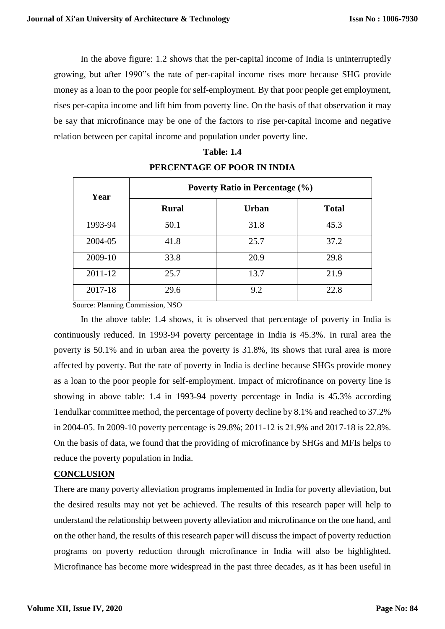In the above figure: 1.2 shows that the per-capital income of India is uninterruptedly growing, but after 1990"s the rate of per-capital income rises more because SHG provide money as a loan to the poor people for self-employment. By that poor people get employment, rises per-capita income and lift him from poverty line. On the basis of that observation it may be say that microfinance may be one of the factors to rise per-capital income and negative relation between per capital income and population under poverty line.

| Year    | <b>Poverty Ratio in Percentage (%)</b> |              |              |  |  |
|---------|----------------------------------------|--------------|--------------|--|--|
|         | <b>Rural</b>                           | <b>Urban</b> | <b>Total</b> |  |  |
| 1993-94 | 50.1                                   | 31.8         | 45.3         |  |  |
| 2004-05 | 41.8                                   | 25.7         | 37.2         |  |  |
| 2009-10 | 33.8                                   | 20.9         | 29.8         |  |  |
| 2011-12 | 25.7                                   | 13.7         | 21.9         |  |  |
| 2017-18 | 29.6                                   | 9.2          | 22.8         |  |  |

### **Table: 1.4 PERCENTAGE OF POOR IN INDIA**

Source: [Planning Commission, NSO](https://datawrapper.dwcdn.net/7mtoz/1/) 

In the above table: 1.4 shows, it is observed that percentage of poverty in India is continuously reduced. In 1993-94 poverty percentage in India is 45.3%. In rural area the poverty is 50.1% and in urban area the poverty is 31.8%, its shows that rural area is more affected by poverty. But the rate of poverty in India is decline because SHGs provide money as a loan to the poor people for self-employment. Impact of microfinance on poverty line is showing in above table: 1.4 in 1993-94 poverty percentage in India is 45.3% according Tendulkar committee method, the percentage of poverty decline by 8.1% and reached to 37.2% in 2004-05. In 2009-10 poverty percentage is 29.8%; 2011-12 is 21.9% and 2017-18 is 22.8%. On the basis of data, we found that the providing of microfinance by SHGs and MFIs helps to reduce the poverty population in India.

### **CONCLUSION**

There are many poverty alleviation programs implemented in India for poverty alleviation, but the desired results may not yet be achieved. The results of this research paper will help to understand the relationship between poverty alleviation and microfinance on the one hand, and on the other hand, the results of this research paper will discuss the impact of poverty reduction programs on poverty reduction through microfinance in India will also be highlighted. Microfinance has become more widespread in the past three decades, as it has been useful in